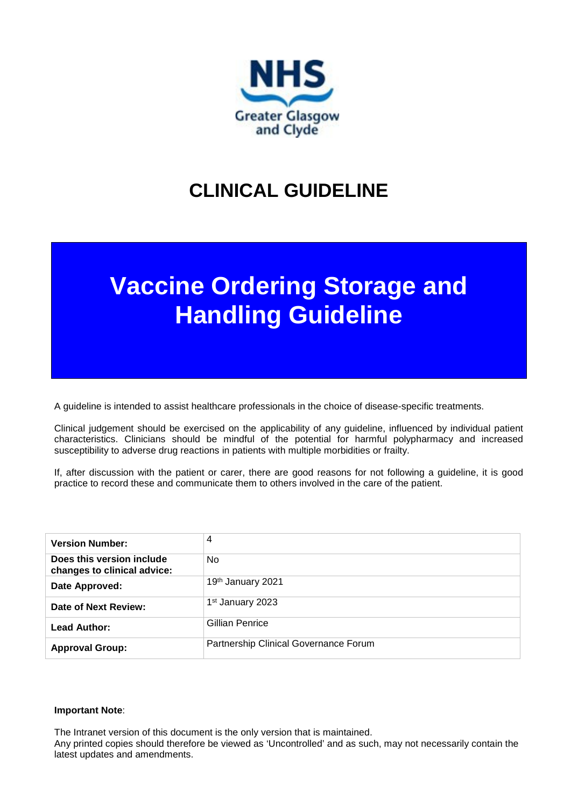

# **CLINICAL GUIDELINE**

# **Vaccine Ordering Storage and Handling Guideline**

A guideline is intended to assist healthcare professionals in the choice of disease-specific treatments.

Clinical judgement should be exercised on the applicability of any guideline, influenced by individual patient characteristics. Clinicians should be mindful of the potential for harmful polypharmacy and increased susceptibility to adverse drug reactions in patients with multiple morbidities or frailty.

If, after discussion with the patient or carer, there are good reasons for not following a guideline, it is good practice to record these and communicate them to others involved in the care of the patient.

| <b>Version Number:</b>                                   | 4                                     |
|----------------------------------------------------------|---------------------------------------|
| Does this version include<br>changes to clinical advice: | No.                                   |
| Date Approved:                                           | 19th January 2021                     |
| Date of Next Review:                                     | 1 <sup>st</sup> January 2023          |
| <b>Lead Author:</b>                                      | Gillian Penrice                       |
| <b>Approval Group:</b>                                   | Partnership Clinical Governance Forum |

#### **Important Note**:

The Intranet version of this document is the only version that is maintained.

Any printed copies should therefore be viewed as 'Uncontrolled' and as such, may not necessarily contain the latest updates and amendments.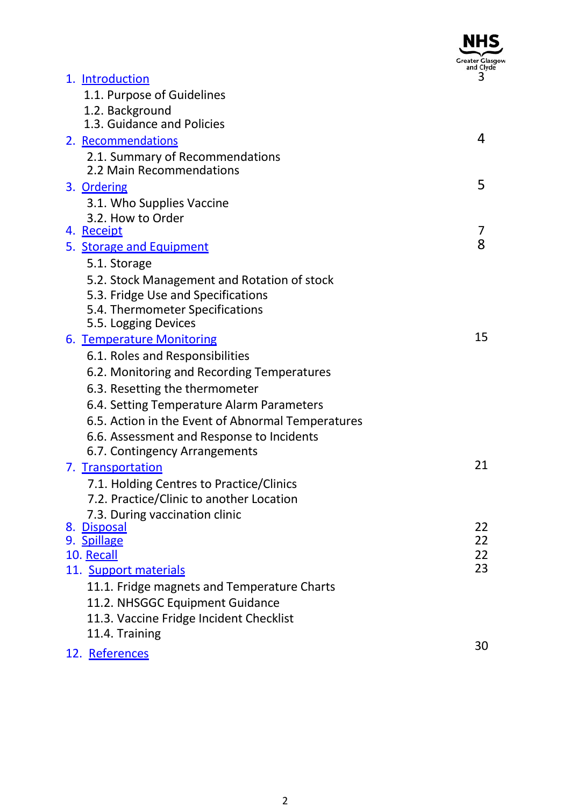|                                                                                   | Greater Glasg<br>and Clyde |
|-----------------------------------------------------------------------------------|----------------------------|
| 1. Introduction                                                                   | 3                          |
| 1.1. Purpose of Guidelines                                                        |                            |
| 1.2. Background                                                                   |                            |
| 1.3. Guidance and Policies                                                        |                            |
| 2. Recommendations                                                                | 4                          |
| 2.1. Summary of Recommendations                                                   |                            |
| 2.2 Main Recommendations                                                          |                            |
| 3. Ordering                                                                       | 5                          |
| 3.1. Who Supplies Vaccine                                                         |                            |
| 3.2. How to Order                                                                 | 7                          |
| 4. Receipt                                                                        | 8                          |
| 5. Storage and Equipment                                                          |                            |
| 5.1. Storage                                                                      |                            |
| 5.2. Stock Management and Rotation of stock<br>5.3. Fridge Use and Specifications |                            |
| 5.4. Thermometer Specifications                                                   |                            |
| 5.5. Logging Devices                                                              |                            |
| 6. Temperature Monitoring                                                         | 15                         |
| 6.1. Roles and Responsibilities                                                   |                            |
| 6.2. Monitoring and Recording Temperatures                                        |                            |
| 6.3. Resetting the thermometer                                                    |                            |
| 6.4. Setting Temperature Alarm Parameters                                         |                            |
| 6.5. Action in the Event of Abnormal Temperatures                                 |                            |
| 6.6. Assessment and Response to Incidents                                         |                            |
| 6.7. Contingency Arrangements                                                     |                            |
| 7. Transportation                                                                 | 21                         |
| 7.1. Holding Centres to Practice/Clinics                                          |                            |
| 7.2. Practice/Clinic to another Location                                          |                            |
| 7.3. During vaccination clinic                                                    |                            |
| 8. Disposal                                                                       | 22<br>22                   |
| 9. Spillage<br>10. Recall                                                         | 22                         |
| 11. Support materials                                                             | 23                         |
| 11.1. Fridge magnets and Temperature Charts                                       |                            |
| 11.2. NHSGGC Equipment Guidance                                                   |                            |
| 11.3. Vaccine Fridge Incident Checklist                                           |                            |
| 11.4. Training                                                                    |                            |
| 12. References                                                                    | 30                         |
|                                                                                   |                            |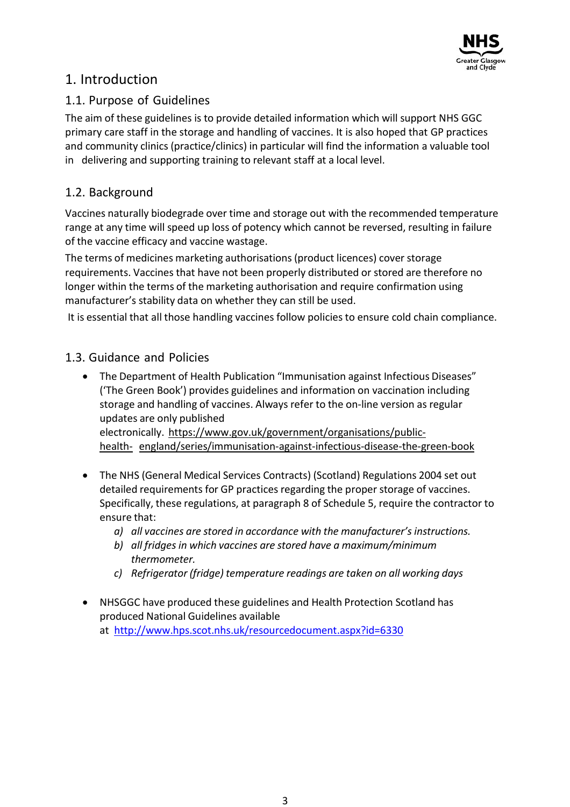

# 1. Introduction

### 1.1. Purpose of Guidelines

The aim of these guidelines is to provide detailed information which will support NHS GGC primary care staff in the storage and handling of vaccines. It is also hoped that GP practices and community clinics (practice/clinics) in particular will find the information a valuable tool in delivering and supporting training to relevant staff at a local level.

### 1.2. Background

Vaccines naturally biodegrade over time and storage out with the recommended temperature range at any time will speed up loss of potency which cannot be reversed, resulting in failure of the vaccine efficacy and vaccine wastage.

The terms of medicines marketing authorisations (product licences) cover storage requirements. Vaccines that have not been properly distributed or stored are therefore no longer within the terms of the marketing authorisation and require confirmation using manufacturer's stability data on whether they can still be used.

It is essential that all those handling vaccines follow policies to ensure cold chain compliance.

### 1.3. Guidance and Policies

• The Department of Health Publication "Immunisation against Infectious Diseases" ('The Green Book') provides guidelines and information on vaccination including storage and handling of vaccines. Always refer to the on-line version as regular updates are only published electronically. https:/[/www.gov.uk/government/organisations/public-](http://www.gov.uk/government/organisations/public-health-)

[health-](http://www.gov.uk/government/organisations/public-health-) england/series/immunisation-against-infectious-disease-the-green-book

- The NHS (General Medical Services Contracts) (Scotland) Regulations 2004 set out detailed requirements for GP practices regarding the proper storage of vaccines. Specifically, these regulations, at paragraph 8 of Schedule 5, require the contractor to ensure that:
	- *a) all vaccines are stored in accordance with the manufacturer's instructions.*
	- *b) all fridges in which vaccines are stored have a maximum/minimum thermometer.*
	- *c) Refrigerator (fridge) temperature readings are taken on all working days*
- NHSGGC have produced these guidelines and Health Protection Scotland has produced National Guidelines available at <http://www.hps.scot.nhs.uk/resourcedocument.aspx?id=6330>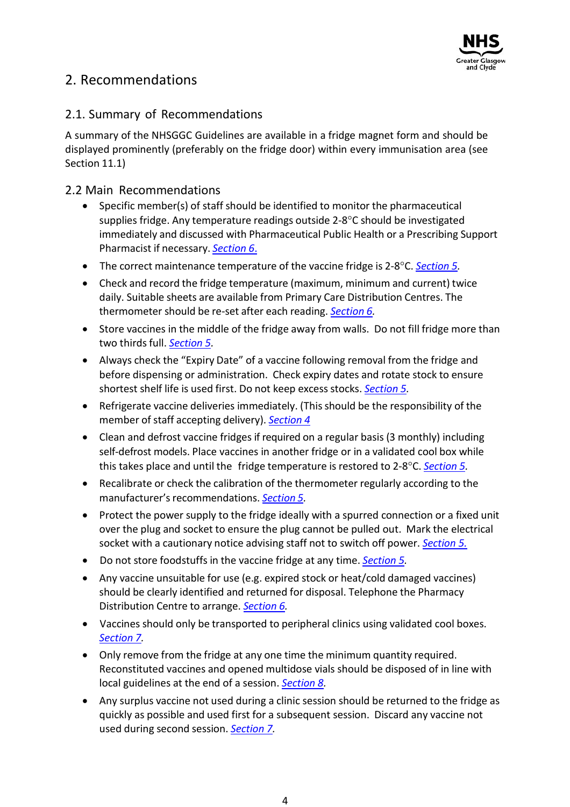

# 2. Recommendations

### 2.1. Summary of Recommendations

A summary of the NHSGGC Guidelines are available in a fridge magnet form and should be displayed prominently (preferably on the fridge door) within every immunisation area (see Section 11.1)

### 2.2 Main Recommendations

- Specific member(s) of staff should be identified to monitor the pharmaceutical supplies fridge. Any temperature readings outside 2-8°C should be investigated immediately and discussed with Pharmaceutical Public Health or a Prescribing Support Pharmacist if necessary. *Section 6*.
- The correct maintenance temperature of the vaccine fridge is 2-8°C. *Section 5.*
- Check and record the fridge temperature (maximum, minimum and current) twice daily. Suitable sheets are available from Primary Care Distribution Centres. The thermometer should be re-set after each reading. *Section 6.*
- Store vaccines in the middle of the fridge away from walls. Do not fill fridge more than two thirds full. *Section 5.*
- Always check the "Expiry Date" of a vaccine following removal from the fridge and before dispensing or administration. Check expiry dates and rotate stock to ensure shortest shelf life is used first. Do not keep excess stocks. *Section 5.*
- Refrigerate vaccine deliveries immediately. (This should be the responsibility of the member of staff accepting delivery). **Section 4**
- Clean and defrost vaccine fridges if required on a regular basis (3 monthly) including self-defrost models. Place vaccines in another fridge or in a validated cool box while this takes place and until the fridge temperature is restored to 2-8°C. *Section 5.*
- Recalibrate or check the calibration of the thermometer regularly according to the manufacturer's recommendations. **Section 5.**
- Protect the power supply to the fridge ideally with a spurred connection or a fixed unit over the plug and socket to ensure the plug cannot be pulled out. Mark the electrical socket with a cautionary notice advising staff not to switch off power. *Section 5.*
- Do not store foodstuffs in the vaccine fridge at any time. *Section 5.*
- Any vaccine unsuitable for use (e.g. expired stock or heat/cold damaged vaccines) should be clearly identified and returned for disposal. Telephone the Pharmacy Distribution Centre to arrange. *Section 6.*
- Vaccines should only be transported to peripheral clinics using validated cool boxes. *Section 7.*
- Only remove from the fridge at any one time the minimum quantity required. Reconstituted vaccines and opened multidose vials should be disposed of in line with local guidelines at the end of a session. *Section 8.*
- Any surplus vaccine not used during a clinic session should be returned to the fridge as quickly as possible and used first for a subsequent session. Discard any vaccine not used during second session. *Section 7.*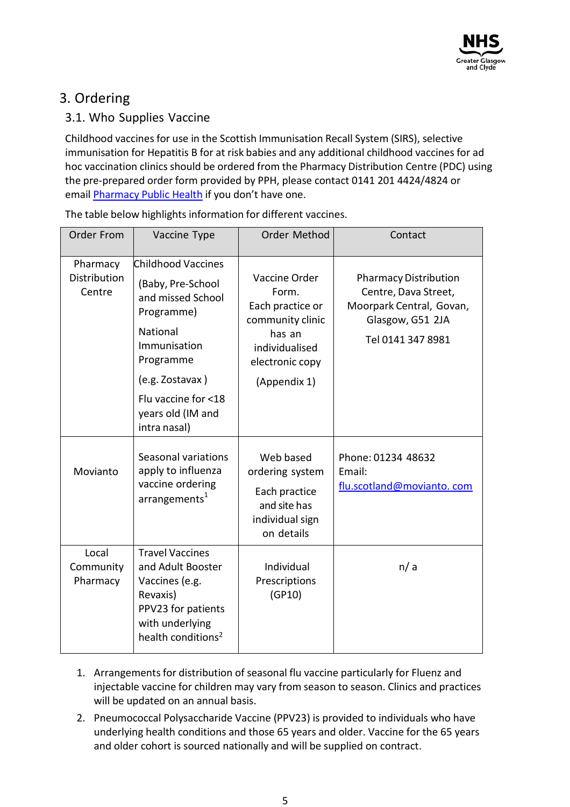# 3. Ordering

### 3.1. Who Supplies Vaccine

Childhood vaccines for use in the Scottish Immunisation Recall System (SIRS), selective immunisation for Hepatitis B for at risk babies and any additional childhood vaccines for ad hoc vaccination clinics should be ordered from the Pharmacy Distribution Centre (PDC) using the pre-prepared order form provided by PPH, please contact 0141 201 4424/4824 or email [Pharmacy Public Health](mailto:Flupandemic@ggc.scot.nhs.uk) if you don't have one.

| Order From                         | Vaccine Type                                                                                                                                         | Order Method                                                                                                  | Contact                                                                                                                   |  |
|------------------------------------|------------------------------------------------------------------------------------------------------------------------------------------------------|---------------------------------------------------------------------------------------------------------------|---------------------------------------------------------------------------------------------------------------------------|--|
| Pharmacy<br>Distribution<br>Centre | <b>Childhood Vaccines</b><br>(Baby, Pre-School<br>and missed School<br>Programme)<br>National<br>Immunisation<br>Programme<br>(e.g. Zostavax)        | Vaccine Order<br>Form.<br>Each practice or<br>community clinic<br>has an<br>individualised<br>electronic copy | <b>Pharmacy Distribution</b><br>Centre, Dava Street,<br>Moorpark Central, Govan,<br>Glasgow, G51 2JA<br>Tel 0141 347 8981 |  |
|                                    | Flu vaccine for <18<br>years old (IM and<br>intra nasal)                                                                                             | (Appendix 1)                                                                                                  |                                                                                                                           |  |
| Movianto                           | Seasonal variations<br>apply to influenza<br>vaccine ordering<br>arrangements <sup>1</sup>                                                           | Web based<br>ordering system<br>Each practice<br>and site has<br>individual sign<br>on details                | Phone: 01234 48632<br>Email:<br>flu.scotland@movianto.com                                                                 |  |
| Local<br>Community<br>Pharmacy     | <b>Travel Vaccines</b><br>and Adult Booster<br>Vaccines (e.g.<br>Revaxis)<br>PPV23 for patients<br>with underlying<br>health conditions <sup>2</sup> | Individual<br>Prescriptions<br>(GP10)                                                                         | n/a                                                                                                                       |  |

The table below highlights information for different vaccines.

- 1. Arrangementsfor distribution of seasonal flu vaccine particularly for Fluenz and injectable vaccine for children may vary from season to season. Clinics and practices will be updated on an annual basis.
- 2. Pneumococcal Polysaccharide Vaccine (PPV23) is provided to individuals who have underlying health conditions and those 65 years and older. Vaccine for the 65 years and older cohort is sourced nationally and will be supplied on contract.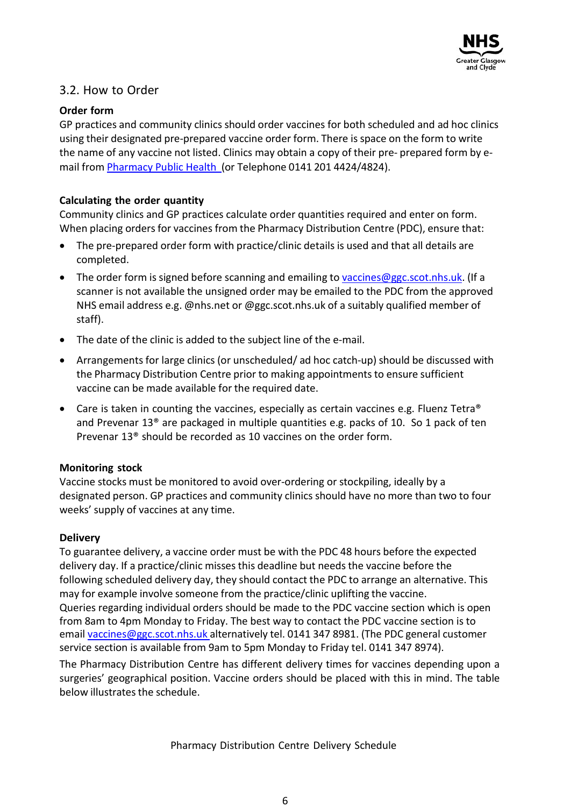

### 3.2. How to Order

#### **Order form**

GP practices and community clinics should order vaccines for both scheduled and ad hoc clinics using their designated pre-prepared vaccine order form. There is space on the form to write the name of any vaccine not listed. Clinics may obtain a copy of their pre- prepared form by email from Pharmacy Public Health (or Telephone 0141 201 4424/4824).

#### **Calculating the order quantity**

Community clinics and GP practices calculate order quantities required and enter on form. When placing orders for vaccines from the Pharmacy Distribution Centre (PDC), ensure that:

- The pre-prepared order form with practice/clinic details is used and that all details are completed.
- The order form is signed before scanning and emailing to [vaccines@ggc.scot.nhs.uk.](mailto:vaccines@ggc.scot.nhs.uk) (If a scanner is not available the unsigned order may be emailed to the PDC from the approved NHS email address e.g. @nhs.net or @ggc.scot.nhs.uk of a suitably qualified member of staff).
- The date of the clinic is added to the subject line of the e-mail.
- Arrangements for large clinics (or unscheduled/ ad hoc catch-up) should be discussed with the Pharmacy Distribution Centre prior to making appointments to ensure sufficient vaccine can be made available for the required date.
- Care is taken in counting the vaccines, especially as certain vaccines e.g. Fluenz Tetra<sup>®</sup> and Prevenar 13® are packaged in multiple quantities e.g. packs of 10. So 1 pack of ten Prevenar 13® should be recorded as 10 vaccines on the order form.

#### **Monitoring stock**

Vaccine stocks must be monitored to avoid over-ordering or stockpiling, ideally by a designated person. GP practices and community clinics should have no more than two to four weeks' supply of vaccines at any time.

#### **Delivery**

To guarantee delivery, a vaccine order must be with the PDC 48 hours before the expected delivery day. If a practice/clinic misses this deadline but needsthe vaccine before the following scheduled delivery day, they should contact the PDC to arrange an alternative. This may for example involve someone from the practice/clinic uplifting the vaccine. Queries regarding individual orders should be made to the PDC vaccine section which is open from 8am to 4pm Monday to Friday. The best way to contact the PDC vaccine section is to email [vaccines@ggc.scot.nhs.uk](mailto:vaccines@ggc.scot.nhs.uk) alternatively tel. 0141 347 8981. (The PDC general customer service section is available from 9am to 5pm Monday to Friday tel. 0141 347 8974).

The Pharmacy Distribution Centre has different delivery times for vaccines depending upon a surgeries' geographical position. Vaccine orders should be placed with this in mind. The table below illustrates the schedule.

Pharmacy Distribution Centre Delivery Schedule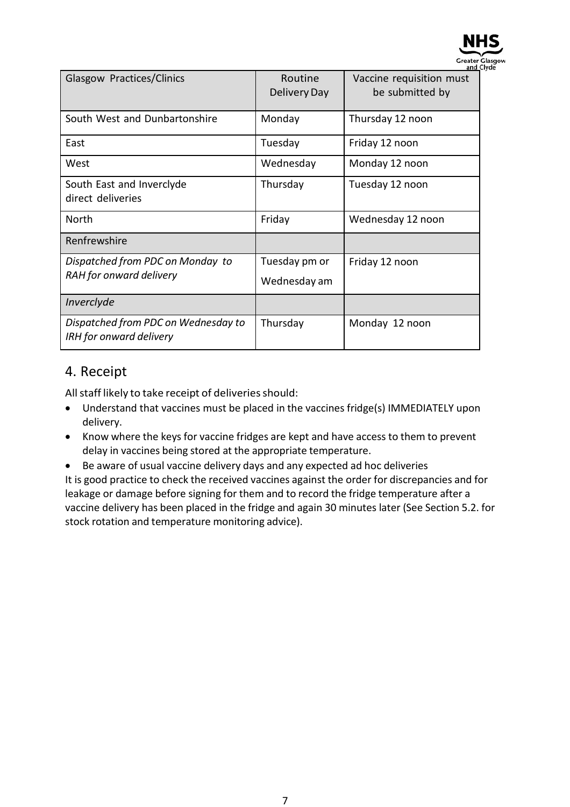

| Glasgow Practices/Clinics                                             | Routine<br>Delivery Day       | Vaccine requisition must<br>be submitted by |
|-----------------------------------------------------------------------|-------------------------------|---------------------------------------------|
| South West and Dunbartonshire                                         | Monday                        | Thursday 12 noon                            |
| East                                                                  | Tuesday                       | Friday 12 noon                              |
| West                                                                  | Wednesday                     | Monday 12 noon                              |
| South East and Inverclyde<br>direct deliveries                        | Thursday                      | Tuesday 12 noon                             |
| North                                                                 | Friday                        | Wednesday 12 noon                           |
| Renfrewshire                                                          |                               |                                             |
| Dispatched from PDC on Monday to<br>RAH for onward delivery           | Tuesday pm or<br>Wednesday am | Friday 12 noon                              |
| Inverclyde                                                            |                               |                                             |
| Dispatched from PDC on Wednesday to<br><b>IRH</b> for onward delivery | Thursday                      | Monday 12 noon                              |

### 4. Receipt

All staff likely to take receipt of deliveries should:

- Understand that vaccines must be placed in the vaccines fridge(s) IMMEDIATELY upon delivery.
- Know where the keys for vaccine fridges are kept and have access to them to prevent delay in vaccines being stored at the appropriate temperature.
- Be aware of usual vaccine delivery days and any expected ad hoc deliveries

It is good practice to check the received vaccines against the order for discrepancies and for leakage or damage before signing for them and to record the fridge temperature after a vaccine delivery has been placed in the fridge and again 30 minutes later (See Section 5.2. for stock rotation and temperature monitoring advice).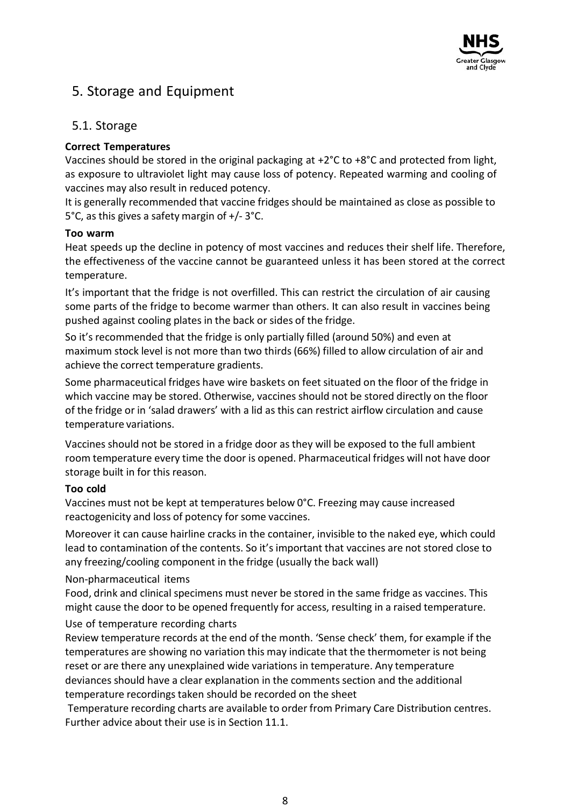

# 5. Storage and Equipment

#### 5.1. Storage

#### **Correct Temperatures**

Vaccines should be stored in the original packaging at +2°C to +8°C and protected from light, as exposure to ultraviolet light may cause loss of potency. Repeated warming and cooling of vaccines may also result in reduced potency.

It is generally recommended that vaccine fridges should be maintained as close as possible to 5°C, as this gives a safety margin of +/- 3°C.

#### **Too warm**

Heat speeds up the decline in potency of most vaccines and reduces their shelf life. Therefore, the effectiveness of the vaccine cannot be guaranteed unless it has been stored at the correct temperature.

It's important that the fridge is not overfilled. This can restrict the circulation of air causing some parts of the fridge to become warmer than others. It can also result in vaccines being pushed against cooling plates in the back or sides of the fridge.

So it's recommended that the fridge is only partially filled (around 50%) and even at maximum stock level is not more than two thirds(66%) filled to allow circulation of air and achieve the correct temperature gradients.

Some pharmaceutical fridges have wire baskets on feet situated on the floor of the fridge in which vaccine may be stored. Otherwise, vaccines should not be stored directly on the floor of the fridge or in 'salad drawers' with a lid as this can restrict airflow circulation and cause temperature variations.

Vaccines should not be stored in a fridge door as they will be exposed to the full ambient room temperature every time the door is opened. Pharmaceutical fridges will not have door storage built in for this reason.

#### **Too cold**

Vaccines must not be kept at temperatures below 0°C. Freezing may cause increased reactogenicity and loss of potency for some vaccines.

Moreover it can cause hairline cracks in the container, invisible to the naked eye, which could lead to contamination of the contents. So it's important that vaccines are not stored close to any freezing/cooling component in the fridge (usually the back wall)

#### Non-pharmaceutical items

Food, drink and clinical specimens must never be stored in the same fridge as vaccines. This might cause the door to be opened frequently for access, resulting in a raised temperature.

#### Use of temperature recording charts

Review temperature records at the end of the month. 'Sense check' them, for example if the temperatures are showing no variation this may indicate that the thermometer is not being reset or are there any unexplained wide variations in temperature. Any temperature deviances should have a clear explanation in the comments section and the additional temperature recordings taken should be recorded on the sheet

Temperature recording charts are available to order from Primary Care Distribution centres. Further advice about their use is in Section 11.1.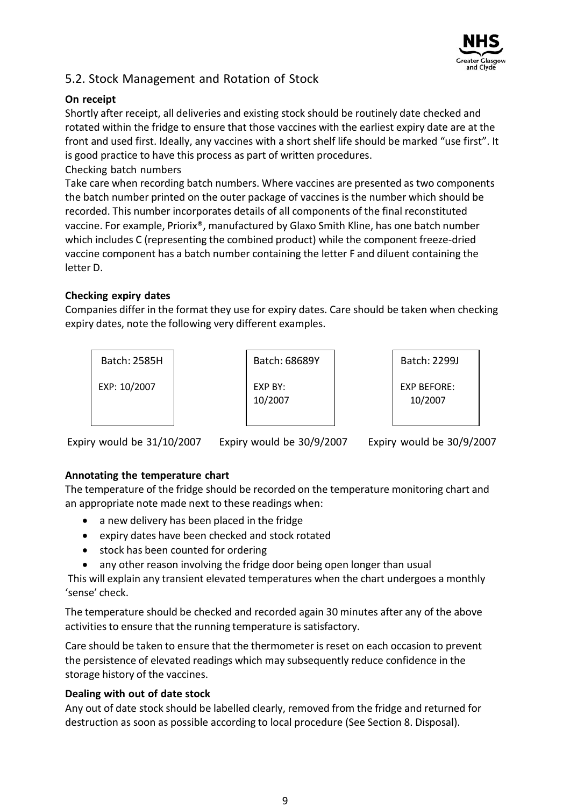

### 5.2. Stock Management and Rotation of Stock

#### **On receipt**

Shortly after receipt, all deliveries and existing stock should be routinely date checked and rotated within the fridge to ensure that those vaccines with the earliest expiry date are at the front and used first. Ideally, any vaccines with a short shelf life should be marked "use first". It is good practice to have this process as part of written procedures. Checking batch numbers

Take care when recording batch numbers. Where vaccines are presented as two components the batch number printed on the outer package of vaccines is the number which should be recorded. This number incorporates details of all components of the final reconstituted vaccine. For example, Priorix®, manufactured by Glaxo Smith Kline, has one batch number which includes C (representing the combined product) while the component freeze-dried vaccine component has a batch number containing the letter F and diluent containing the letter D.

#### **Checking expiry dates**

Companies differ in the format they use for expiry dates. Care should be taken when checking expiry dates, note the following very different examples.



Expiry would be 31/10/2007 Expiry would be 30/9/2007 Expiry would be 30/9/2007

#### **Annotating the temperature chart**

The temperature of the fridge should be recorded on the temperature monitoring chart and an appropriate note made next to these readings when:

- a new delivery has been placed in the fridge
- expiry dates have been checked and stock rotated
- stock has been counted for ordering
- any other reason involving the fridge door being open longer than usual

This will explain any transient elevated temperatures when the chart undergoes a monthly 'sense' check.

The temperature should be checked and recorded again 30 minutes after any of the above activities to ensure that the running temperature is satisfactory.

Care should be taken to ensure that the thermometer is reset on each occasion to prevent the persistence of elevated readings which may subsequently reduce confidence in the storage history of the vaccines.

### **Dealing with out of date stock**

Any out of date stock should be labelled clearly, removed from the fridge and returned for destruction as soon as possible according to local procedure (See Section 8. Disposal).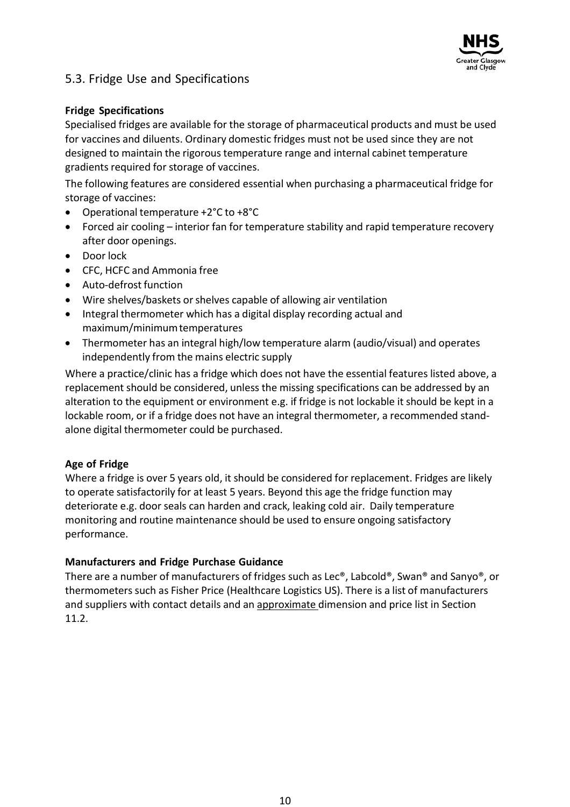

### 5.3. Fridge Use and Specifications

#### **Fridge Specifications**

Specialised fridges are available for the storage of pharmaceutical products and must be used for vaccines and diluents. Ordinary domestic fridges must not be used since they are not designed to maintain the rigorous temperature range and internal cabinet temperature gradients required for storage of vaccines.

The following features are considered essential when purchasing a pharmaceutical fridge for storage of vaccines:

- Operational temperature +2°C to +8°C
- Forced air cooling interior fan for temperature stability and rapid temperature recovery after door openings.
- Door lock
- CFC, HCFC and Ammonia free
- Auto-defrost function
- Wire shelves/baskets or shelves capable of allowing air ventilation
- Integral thermometer which has a digital display recording actual and maximum/minimumtemperatures
- Thermometer has an integral high/low temperature alarm (audio/visual) and operates independently from the mains electric supply

Where a practice/clinic has a fridge which does not have the essential features listed above, a replacement should be considered, unless the missing specifications can be addressed by an alteration to the equipment or environment e.g. if fridge is not lockable it should be kept in a lockable room, or if a fridge does not have an integral thermometer, a recommended standalone digital thermometer could be purchased.

#### **Age of Fridge**

Where a fridge is over 5 years old, it should be considered for replacement. Fridges are likely to operate satisfactorily for at least 5 years. Beyond this age the fridge function may deteriorate e.g. door seals can harden and crack, leaking cold air. Daily temperature monitoring and routine maintenance should be used to ensure ongoing satisfactory performance.

#### **Manufacturers and Fridge Purchase Guidance**

There are a number of manufacturers of fridges such as Lec®, Labcold®, Swan® and Sanyo®, or thermometers such as Fisher Price (Healthcare Logistics US). There is a list of manufacturers and suppliers with contact details and an approximate dimension and price list in Section 11.2.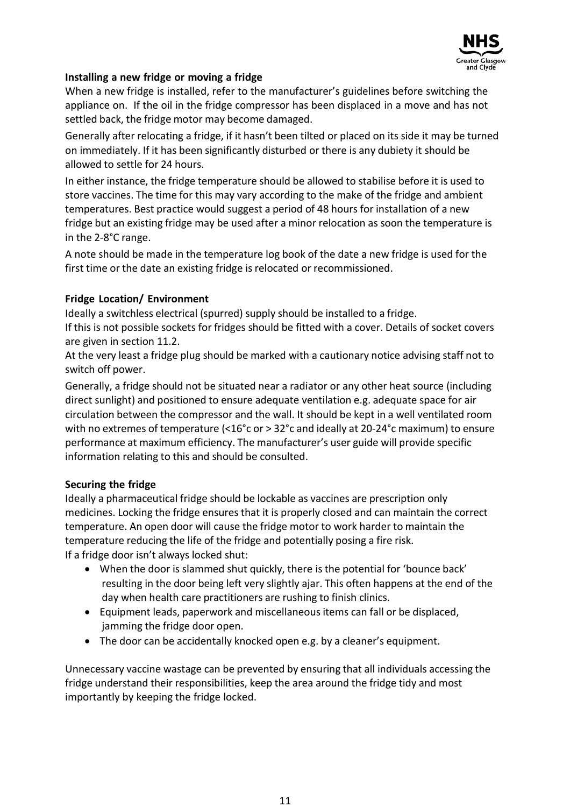

#### **Installing a new fridge or moving a fridge**

When a new fridge is installed, refer to the manufacturer's guidelines before switching the appliance on. If the oil in the fridge compressor has been displaced in a move and has not settled back, the fridge motor may become damaged.

Generally after relocating a fridge, if it hasn't been tilted or placed on its side it may be turned on immediately. If it has been significantly disturbed or there is any dubiety it should be allowed to settle for 24 hours.

In either instance, the fridge temperature should be allowed to stabilise before it is used to store vaccines. The time for this may vary according to the make of the fridge and ambient temperatures. Best practice would suggest a period of 48 hours for installation of a new fridge but an existing fridge may be used after a minor relocation as soon the temperature is in the 2-8°C range.

A note should be made in the temperature log book of the date a new fridge is used for the first time or the date an existing fridge is relocated or recommissioned.

#### **Fridge Location/ Environment**

Ideally a switchless electrical (spurred) supply should be installed to a fridge.

If this is not possible sockets for fridges should be fitted with a cover. Details of socket covers are given in section 11.2.

At the very least a fridge plug should be marked with a cautionary notice advising staff not to switch off power.

Generally, a fridge should not be situated near a radiator or any other heat source (including direct sunlight) and positioned to ensure adequate ventilation e.g. adequate space for air circulation between the compressor and the wall. It should be kept in a well ventilated room with no extremes of temperature (<16°c or > 32°c and ideally at 20-24°c maximum) to ensure performance at maximum efficiency. The manufacturer's user guide will provide specific information relating to this and should be consulted.

#### **Securing the fridge**

Ideally a pharmaceutical fridge should be lockable as vaccines are prescription only medicines. Locking the fridge ensures that it is properly closed and can maintain the correct temperature. An open door will cause the fridge motor to work harder to maintain the temperature reducing the life of the fridge and potentially posing a fire risk. If a fridge door isn't always locked shut:

- When the door is slammed shut quickly, there is the potential for 'bounce back' resulting in the door being left very slightly ajar. This often happens at the end of the day when health care practitioners are rushing to finish clinics.
- Equipment leads, paperwork and miscellaneous items can fall or be displaced, jamming the fridge door open.
- The door can be accidentally knocked open e.g. by a cleaner's equipment.

Unnecessary vaccine wastage can be prevented by ensuring that all individuals accessing the fridge understand their responsibilities, keep the area around the fridge tidy and most importantly by keeping the fridge locked.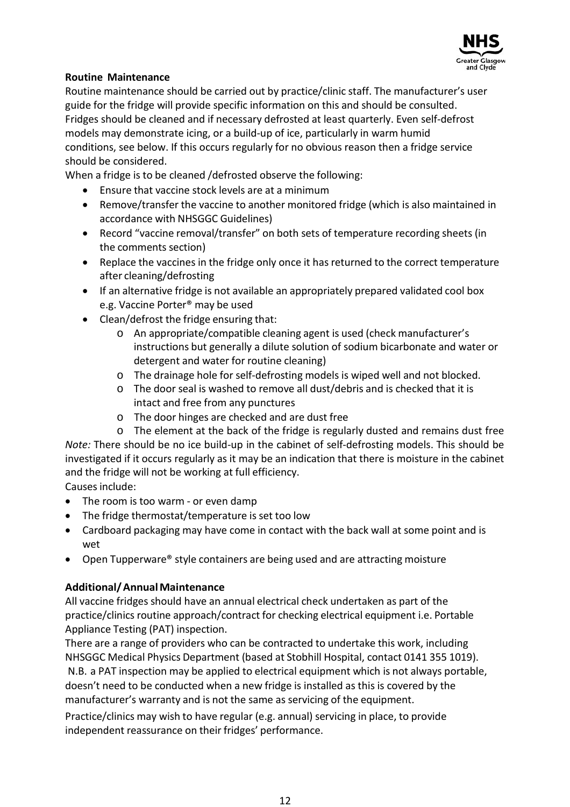

#### **Routine Maintenance**

Routine maintenance should be carried out by practice/clinic staff. The manufacturer's user guide for the fridge will provide specific information on this and should be consulted. Fridges should be cleaned and if necessary defrosted at least quarterly. Even self-defrost models may demonstrate icing, or a build-up of ice, particularly in warm humid conditions, see below. If this occurs regularly for no obvious reason then a fridge service should be considered.

When a fridge is to be cleaned /defrosted observe the following:

- Ensure that vaccine stock levels are at a minimum
- Remove/transfer the vaccine to another monitored fridge (which is also maintained in accordance with NHSGGC Guidelines)
- Record "vaccine removal/transfer" on both sets of temperature recording sheets (in the comments section)
- Replace the vaccines in the fridge only once it has returned to the correct temperature after cleaning/defrosting
- If an alternative fridge is not available an appropriately prepared validated cool box e.g. Vaccine Porter® may be used
- Clean/defrost the fridge ensuring that:
	- o An appropriate/compatible cleaning agent is used (check manufacturer's instructions but generally a dilute solution of sodium bicarbonate and water or detergent and water for routine cleaning)
	- o The drainage hole for self-defrosting models is wiped well and not blocked.
	- o The door seal is washed to remove all dust/debris and is checked that it is intact and free from any punctures
	- o The door hinges are checked and are dust free
	- o The element at the back of the fridge is regularly dusted and remains dust free

*Note:* There should be no ice build-up in the cabinet of self-defrosting models. This should be investigated if it occurs regularly as it may be an indication that there is moisture in the cabinet and the fridge will not be working at full efficiency.

Causes include:

- The room is too warm or even damp
- The fridge thermostat/temperature is set too low
- Cardboard packaging may have come in contact with the back wall at some point and is wet
- Open Tupperware® style containers are being used and are attracting moisture

#### **Additional/AnnualMaintenance**

All vaccine fridges should have an annual electrical check undertaken as part of the practice/clinics routine approach/contract for checking electrical equipment i.e. Portable Appliance Testing (PAT) inspection.

There are a range of providers who can be contracted to undertake this work, including NHSGGC Medical Physics Department (based at Stobhill Hospital, contact 0141 355 1019). N.B. a PAT inspection may be applied to electrical equipment which is not always portable, doesn't need to be conducted when a new fridge is installed as this is covered by the manufacturer's warranty and is not the same as servicing of the equipment.

Practice/clinics may wish to have regular (e.g. annual) servicing in place, to provide independent reassurance on their fridges' performance.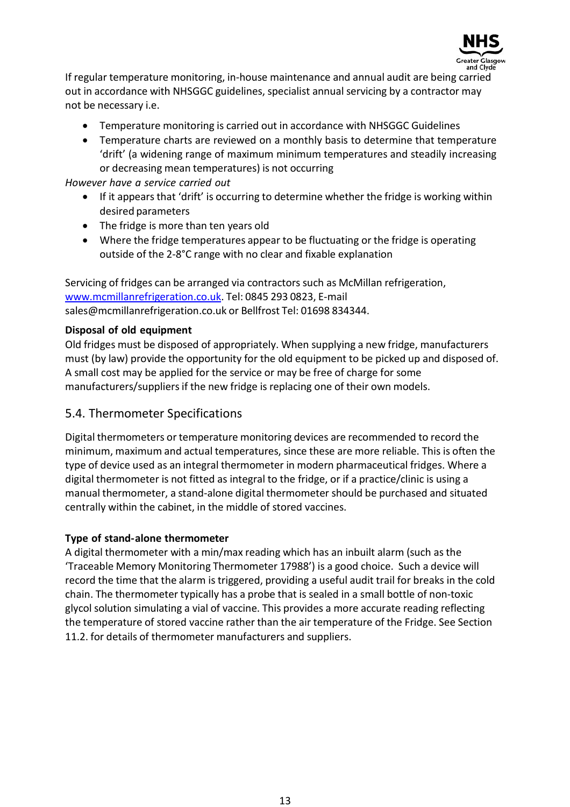

If regular temperature monitoring, in-house maintenance and annual audit are being carried out in accordance with NHSGGC guidelines, specialist annual servicing by a contractor may not be necessary i.e.

- Temperature monitoring is carried out in accordance with NHSGGC Guidelines
- Temperature charts are reviewed on a monthly basis to determine that temperature 'drift' (a widening range of maximum minimum temperatures and steadily increasing or decreasing mean temperatures) is not occurring

*However have a service carried out*

- If it appears that 'drift' is occurring to determine whether the fridge is working within desired parameters
- The fridge is more than ten years old
- Where the fridge temperatures appear to be fluctuating or the fridge is operating outside of the 2-8°C range with no clear and fixable explanation

Servicing of fridges can be arranged via contractors such as McMillan refrigeration, [www.mcmillanrefrigeration.co.uk.](http://www.mcmillanrefrigeration.co.uk/) Tel: 0845 293 0823, E-mail [sales@mcmillanrefrigeration.co.uk](mailto:sales@mcmillanrefrigeration.co.uk) or Bellfrost Tel: 01698 834344.

#### **Disposal of old equipment**

Old fridges must be disposed of appropriately. When supplying a new fridge, manufacturers must (by law) provide the opportunity for the old equipment to be picked up and disposed of. A small cost may be applied for the service or may be free of charge for some manufacturers/suppliersif the new fridge is replacing one of their own models.

#### 5.4. Thermometer Specifications

Digital thermometers or temperature monitoring devices are recommended to record the minimum, maximum and actual temperatures, since these are more reliable. This is often the type of device used as an integral thermometer in modern pharmaceutical fridges. Where a digital thermometer is not fitted as integral to the fridge, or if a practice/clinic is using a manual thermometer, a stand-alone digital thermometer should be purchased and situated centrally within the cabinet, in the middle of stored vaccines.

#### **Type of stand-alone thermometer**

A digital thermometer with a min/max reading which has an inbuilt alarm (such as the 'Traceable Memory Monitoring Thermometer 17988') is a good choice. Such a device will record the time that the alarm is triggered, providing a useful audit trail for breaks in the cold chain. The thermometer typically has a probe that is sealed in a small bottle of non-toxic glycol solution simulating a vial of vaccine. This provides a more accurate reading reflecting the temperature of stored vaccine rather than the air temperature of the Fridge. See Section 11.2. for details of thermometer manufacturers and suppliers.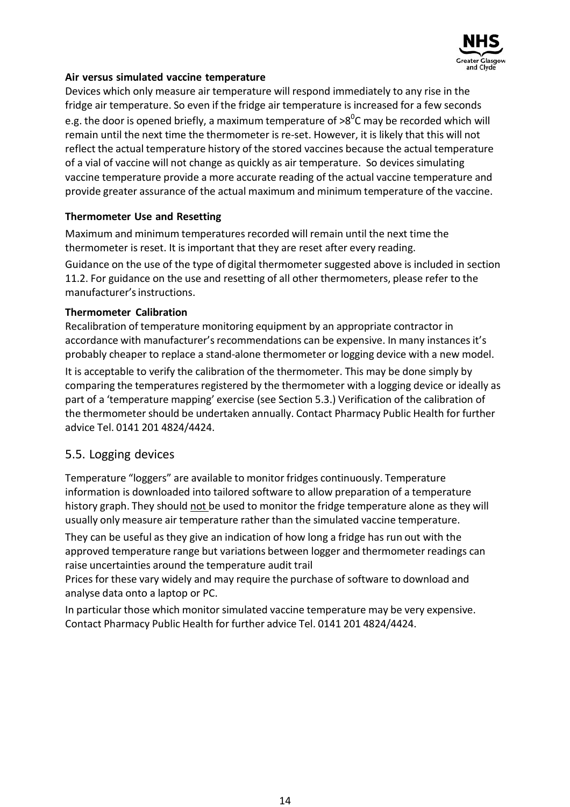

#### **Air versus simulated vaccine temperature**

Devices which only measure air temperature will respond immediately to any rise in the fridge air temperature. So even if the fridge air temperature is increased for a few seconds e.g. the door is opened briefly, a maximum temperature of  $\mathtt{>8}^0\mathtt{C}$  may be recorded which will remain until the next time the thermometer is re-set. However, it is likely that this will not reflect the actual temperature history of the stored vaccines because the actual temperature of a vial of vaccine will not change as quickly as air temperature. So devices simulating vaccine temperature provide a more accurate reading of the actual vaccine temperature and provide greater assurance of the actual maximum and minimum temperature of the vaccine.

#### **Thermometer Use and Resetting**

Maximum and minimum temperatures recorded will remain until the next time the thermometer is reset. It is important that they are reset after every reading.

Guidance on the use of the type of digital thermometer suggested above is included in section 11.2. For guidance on the use and resetting of all other thermometers, please refer to the manufacturer'sinstructions.

#### **Thermometer Calibration**

Recalibration of temperature monitoring equipment by an appropriate contractor in accordance with manufacturer's recommendations can be expensive. In many instances it's probably cheaper to replace a stand-alone thermometer or logging device with a new model.

It is acceptable to verify the calibration of the thermometer. This may be done simply by comparing the temperatures registered by the thermometer with a logging device or ideally as part of a 'temperature mapping' exercise (see Section 5.3.) Verification of the calibration of the thermometer should be undertaken annually. Contact Pharmacy Public Health for further advice Tel. 0141 201 4824/4424.

### 5.5. Logging devices

Temperature "loggers" are available to monitor fridges continuously. Temperature information is downloaded into tailored software to allow preparation of a temperature history graph. They should not be used to monitor the fridge temperature alone as they will usually only measure air temperature rather than the simulated vaccine temperature.

They can be useful as they give an indication of how long a fridge has run out with the approved temperature range but variations between logger and thermometer readings can raise uncertainties around the temperature audit trail

Prices for these vary widely and may require the purchase of software to download and analyse data onto a laptop or PC.

In particular those which monitor simulated vaccine temperature may be very expensive. Contact Pharmacy Public Health for further advice Tel. 0141 201 4824/4424.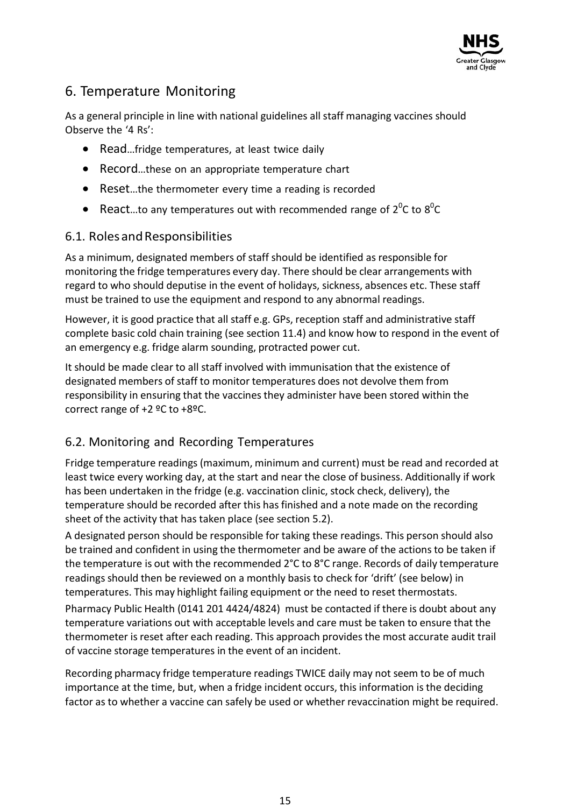

# 6. Temperature Monitoring

As a general principle in line with national guidelines all staff managing vaccines should Observe the '4 Rs':

- Read...fridge temperatures, at least twice daily
- Record...these on an appropriate temperature chart
- Reset…the thermometer every time a reading is recorded
- React...to any temperatures out with recommended range of  $2^0C$  to  $8^0C$

### 6.1. RolesandResponsibilities

As a minimum, designated members of staff should be identified as responsible for monitoring the fridge temperatures every day. There should be clear arrangements with regard to who should deputise in the event of holidays, sickness, absences etc. These staff must be trained to use the equipment and respond to any abnormal readings.

However, it is good practice that all staff e.g. GPs, reception staff and administrative staff complete basic cold chain training (see section 11.4) and know how to respond in the event of an emergency e.g. fridge alarm sounding, protracted power cut.

It should be made clear to all staff involved with immunisation that the existence of designated members of staff to monitor temperatures does not devolve them from responsibility in ensuring that the vaccines they administer have been stored within the correct range of +2 ºC to +8ºC.

### 6.2. Monitoring and Recording Temperatures

Fridge temperature readings (maximum, minimum and current) must be read and recorded at least twice every working day, at the start and near the close of business. Additionally if work has been undertaken in the fridge (e.g. vaccination clinic, stock check, delivery), the temperature should be recorded after this has finished and a note made on the recording sheet of the activity that has taken place (see section 5.2).

A designated person should be responsible for taking these readings. This person should also be trained and confident in using the thermometer and be aware of the actions to be taken if the temperature is out with the recommended 2°C to 8°C range. Records of daily temperature readings should then be reviewed on a monthly basis to check for 'drift' (see below) in temperatures. This may highlight failing equipment or the need to reset thermostats.

Pharmacy Public Health (0141 201 4424/4824) must be contacted if there is doubt about any temperature variations out with acceptable levels and care must be taken to ensure that the thermometer is reset after each reading. This approach provides the most accurate audit trail of vaccine storage temperatures in the event of an incident.

Recording pharmacy fridge temperature readings TWICE daily may not seem to be of much importance at the time, but, when a fridge incident occurs, this information is the deciding factor as to whether a vaccine can safely be used or whether revaccination might be required.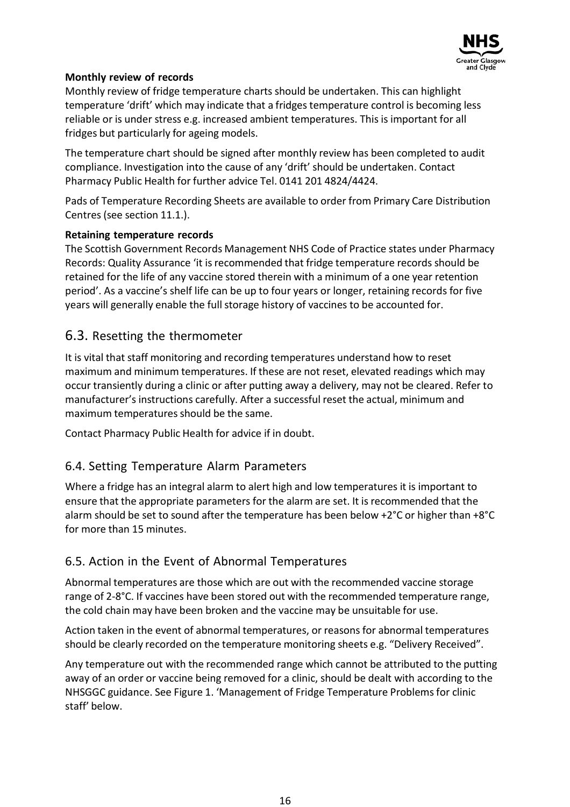

#### **Monthly review of records**

Monthly review of fridge temperature charts should be undertaken. This can highlight temperature 'drift' which may indicate that a fridges temperature control is becoming less reliable or is under stress e.g. increased ambient temperatures. This is important for all fridges but particularly for ageing models.

The temperature chart should be signed after monthly review has been completed to audit compliance. Investigation into the cause of any 'drift' should be undertaken. Contact Pharmacy Public Health for further advice Tel. 0141 201 4824/4424.

Pads of Temperature Recording Sheets are available to order from Primary Care Distribution Centres(see section 11.1.).

#### **Retaining temperature records**

The Scottish Government Records Management NHS Code of Practice states under Pharmacy Records: Quality Assurance 'it isrecommended that fridge temperature records should be retained for the life of any vaccine stored therein with a minimum of a one year retention period'. As a vaccine's shelf life can be up to four years or longer, retaining records for five years will generally enable the full storage history of vaccines to be accounted for.

### 6.3. Resetting the thermometer

It is vital that staff monitoring and recording temperatures understand how to reset maximum and minimum temperatures. If these are not reset, elevated readings which may occur transiently during a clinic or after putting away a delivery, may not be cleared. Refer to manufacturer's instructions carefully. After a successful reset the actual, minimum and maximum temperatures should be the same.

Contact Pharmacy Public Health for advice if in doubt.

### 6.4. Setting Temperature Alarm Parameters

Where a fridge has an integral alarm to alert high and low temperatures it is important to ensure that the appropriate parameters for the alarm are set. It is recommended that the alarm should be set to sound after the temperature has been below +2°C or higher than +8°C for more than 15 minutes.

### 6.5. Action in the Event of Abnormal Temperatures

Abnormal temperatures are those which are out with the recommended vaccine storage range of 2-8°C. If vaccines have been stored out with the recommended temperature range, the cold chain may have been broken and the vaccine may be unsuitable for use.

Action taken in the event of abnormal temperatures, or reasonsfor abnormal temperatures should be clearly recorded on the temperature monitoring sheets e.g. "Delivery Received".

Any temperature out with the recommended range which cannot be attributed to the putting away of an order or vaccine being removed for a clinic, should be dealt with according to the NHSGGC guidance. See Figure 1. 'Management of Fridge Temperature Problemsfor clinic staff' below.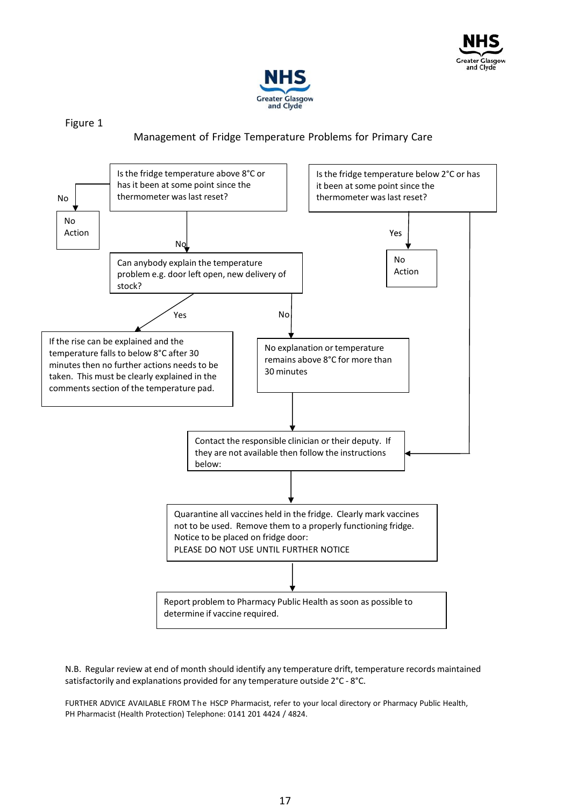



Figure 1

#### Management of Fridge Temperature Problems for Primary Care



N.B. Regular review at end of month should identify any temperature drift, temperature records maintained satisfactorily and explanations provided for any temperature outside 2°C - 8°C.

FURTHER ADVICE AVAILABLE FROM The HSCP Pharmacist, refer to your local directory or Pharmacy Public Health, PH Pharmacist (Health Protection) Telephone: 0141 201 4424 / 4824.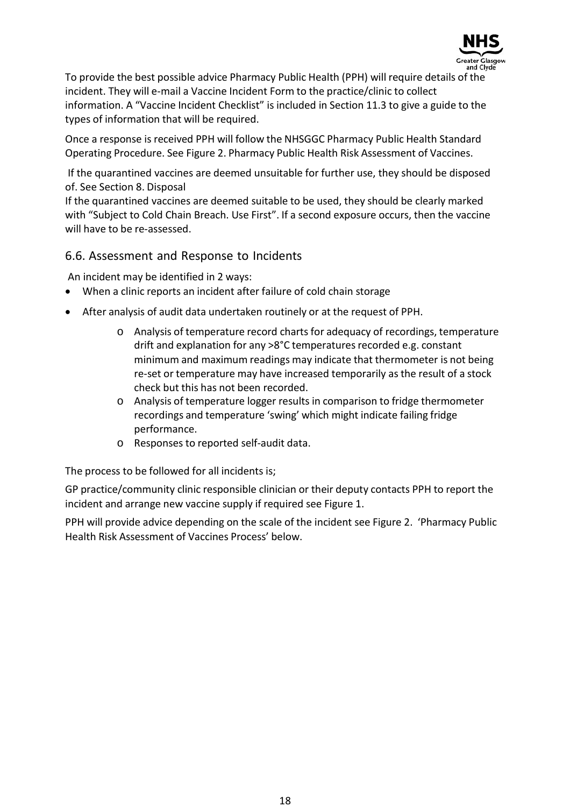

To provide the best possible advice Pharmacy Public Health (PPH) will require details of the incident. They will e-mail a Vaccine Incident Form to the practice/clinic to collect information. A "Vaccine Incident Checklist" is included in Section 11.3 to give a guide to the types of information that will be required.

Once a response is received PPH will follow the NHSGGC Pharmacy Public Health Standard Operating Procedure. See Figure 2. Pharmacy Public Health Risk Assessment of Vaccines.

If the quarantined vaccines are deemed unsuitable for further use, they should be disposed of. See Section 8. Disposal

If the quarantined vaccines are deemed suitable to be used, they should be clearly marked with "Subject to Cold Chain Breach. Use First". If a second exposure occurs, then the vaccine will have to be re-assessed.

#### 6.6. Assessment and Response to Incidents

An incident may be identified in 2 ways:

- When a clinic reports an incident after failure of cold chain storage
- After analysis of audit data undertaken routinely or at the request of PPH.
	- o Analysis of temperature record chartsfor adequacy of recordings, temperature drift and explanation for any >8°C temperatures recorded e.g. constant minimum and maximum readings may indicate that thermometer is not being re-set or temperature may have increased temporarily as the result of a stock check but this has not been recorded.
	- o Analysis of temperature logger results in comparison to fridge thermometer recordings and temperature 'swing' which might indicate failing fridge performance.
	- o Responses to reported self-audit data.

The process to be followed for all incidents is;

GP practice/community clinic responsible clinician or their deputy contacts PPH to report the incident and arrange new vaccine supply if required see Figure 1.

PPH will provide advice depending on the scale of the incident see Figure 2. 'Pharmacy Public Health Risk Assessment of Vaccines Process' below.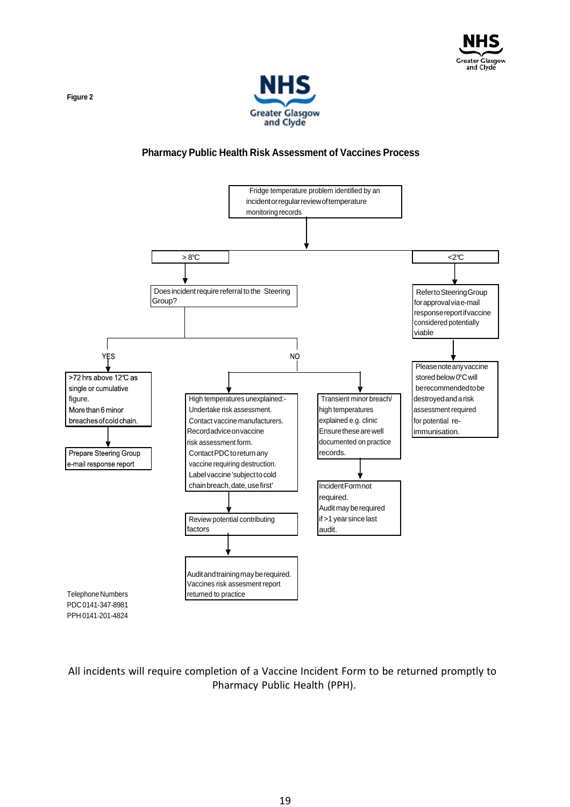



#### **Pharmacy Public Health Risk Assessment of Vaccines Process**



PPH 0141-201-4824

All incidents will require completion of a Vaccine Incident Form to be returned promptly to Pharmacy Public Health (PPH).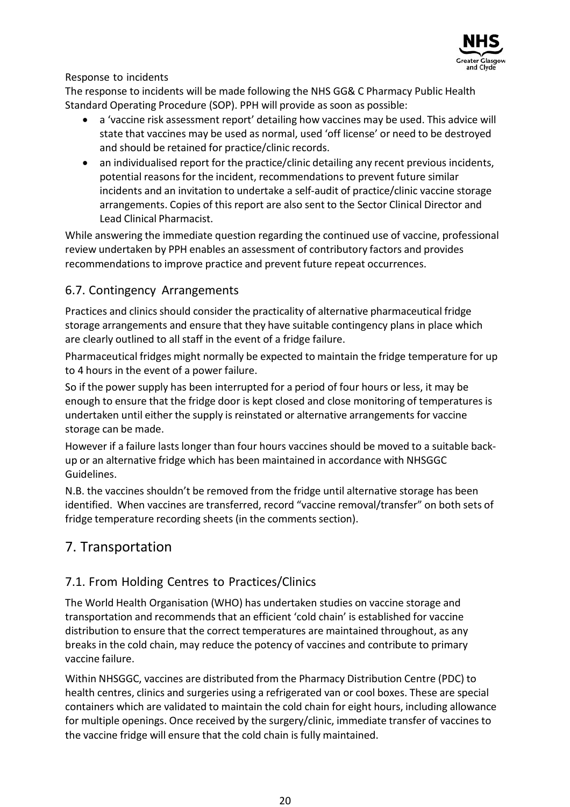

#### Response to incidents

The response to incidents will be made following the NHS GG& C Pharmacy Public Health Standard Operating Procedure (SOP). PPH will provide as soon as possible:

- a 'vaccine risk assessment report' detailing how vaccines may be used. This advice will state that vaccines may be used as normal, used 'off license' or need to be destroyed and should be retained for practice/clinic records.
- an individualised report for the practice/clinic detailing any recent previous incidents, potential reasons for the incident, recommendations to prevent future similar incidents and an invitation to undertake a self-audit of practice/clinic vaccine storage arrangements. Copies of this report are also sent to the Sector Clinical Director and Lead Clinical Pharmacist.

While answering the immediate question regarding the continued use of vaccine, professional review undertaken by PPH enables an assessment of contributory factors and provides recommendations to improve practice and prevent future repeat occurrences.

### 6.7. Contingency Arrangements

Practices and clinics should consider the practicality of alternative pharmaceutical fridge storage arrangements and ensure that they have suitable contingency plans in place which are clearly outlined to all staff in the event of a fridge failure.

Pharmaceutical fridges might normally be expected to maintain the fridge temperature for up to 4 hours in the event of a power failure.

So if the power supply has been interrupted for a period of four hours or less, it may be enough to ensure that the fridge door is kept closed and close monitoring of temperatures is undertaken until either the supply is reinstated or alternative arrangements for vaccine storage can be made.

However if a failure lastslonger than four hours vaccines should be moved to a suitable backup or an alternative fridge which has been maintained in accordance with NHSGGC Guidelines.

N.B. the vaccines shouldn't be removed from the fridge until alternative storage has been identified. When vaccines are transferred, record "vaccine removal/transfer" on both sets of fridge temperature recording sheets (in the comments section).

# 7. Transportation

### 7.1. From Holding Centres to Practices/Clinics

The World Health Organisation (WHO) has undertaken studies on vaccine storage and transportation and recommendsthat an efficient 'cold chain' is established for vaccine distribution to ensure that the correct temperatures are maintained throughout, as any breaks in the cold chain, may reduce the potency of vaccines and contribute to primary vaccine failure.

Within NHSGGC, vaccines are distributed from the Pharmacy Distribution Centre (PDC) to health centres, clinics and surgeries using a refrigerated van or cool boxes. These are special containers which are validated to maintain the cold chain for eight hours, including allowance for multiple openings. Once received by the surgery/clinic, immediate transfer of vaccines to the vaccine fridge will ensure that the cold chain is fully maintained.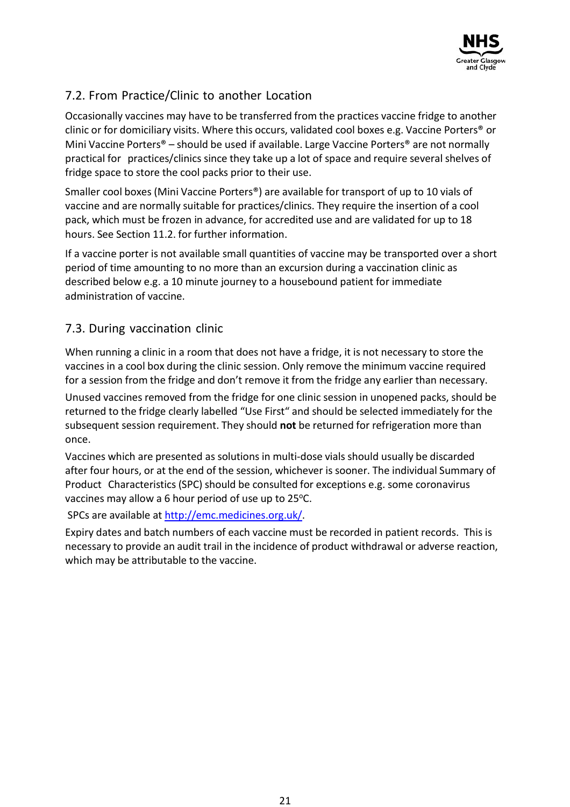

# 7.2. From Practice/Clinic to another Location

Occasionally vaccines may have to be transferred from the practices vaccine fridge to another clinic or for domiciliary visits. Where this occurs, validated cool boxes e.g. Vaccine Porters® or Mini Vaccine Porters® – should be used if available. Large Vaccine Porters® are not normally practical for practices/clinics since they take up a lot of space and require several shelves of fridge space to store the cool packs prior to their use.

Smaller cool boxes (Mini Vaccine Porters®) are available for transport of up to 10 vials of vaccine and are normally suitable for practices/clinics. They require the insertion of a cool pack, which must be frozen in advance, for accredited use and are validated for up to 18 hours. See Section 11.2. for further information.

If a vaccine porter is not available small quantities of vaccine may be transported over a short period of time amounting to no more than an excursion during a vaccination clinic as described below e.g. a 10 minute journey to a housebound patient for immediate administration of vaccine.

### 7.3. During vaccination clinic

When running a clinic in a room that does not have a fridge, it is not necessary to store the vaccines in a cool box during the clinic session. Only remove the minimum vaccine required for a session from the fridge and don't remove it from the fridge any earlier than necessary.

Unused vaccines removed from the fridge for one clinic session in unopened packs, should be returned to the fridge clearly labelled "Use First" and should be selected immediately for the subsequent session requirement. They should **not** be returned for refrigeration more than once.

Vaccines which are presented as solutions in multi-dose vials should usually be discarded after four hours, or at the end of the session, whichever is sooner. The individual Summary of Product Characteristics (SPC) should be consulted for exceptions e.g. some coronavirus vaccines may allow a 6 hour period of use up to  $25^{\circ}$ C.

SPCs are available at [http://emc.medicines.org.uk/.](http://emc.medicines.org.uk/)

Expiry dates and batch numbers of each vaccine must be recorded in patient records. This is necessary to provide an audit trail in the incidence of product withdrawal or adverse reaction, which may be attributable to the vaccine.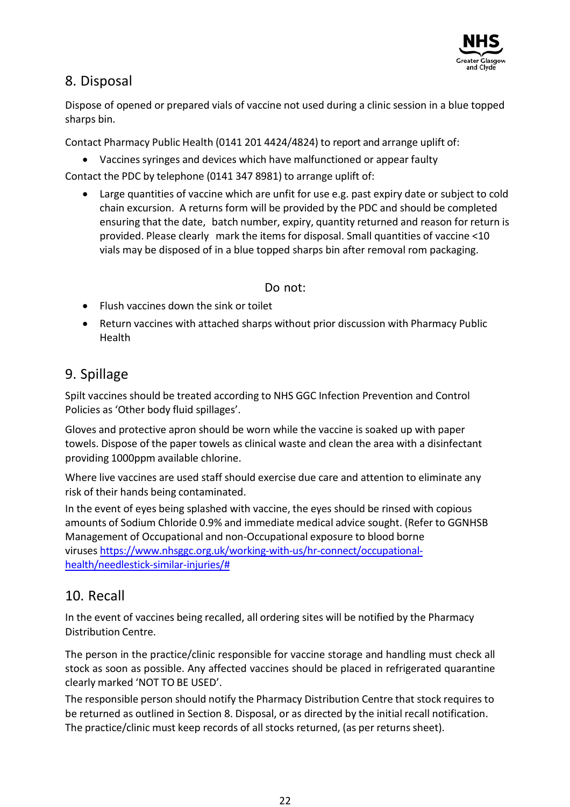

# 8. Disposal

Dispose of opened or prepared vials of vaccine not used during a clinic session in a blue topped sharps bin.

Contact Pharmacy Public Health (0141 201 4424/4824) to report and arrange uplift of:

• Vaccines syringes and devices which have malfunctioned or appear faulty

Contact the PDC by telephone (0141 347 8981) to arrange uplift of:

• Large quantities of vaccine which are unfit for use e.g. past expiry date or subject to cold chain excursion. A returns form will be provided by the PDC and should be completed ensuring that the date, batch number, expiry, quantity returned and reason for return is provided. Please clearly mark the items for disposal. Small quantities of vaccine <10 vials may be disposed of in a blue topped sharps bin after removal rom packaging.

Do not:

- Flush vaccines down the sink or toilet
- Return vaccines with attached sharps without prior discussion with Pharmacy Public Health

# 9. Spillage

Spilt vaccines should be treated according to NHS GGC Infection Prevention and Control Policies as 'Other body fluid spillages'.

Gloves and protective apron should be worn while the vaccine is soaked up with paper towels. Dispose of the paper towels as clinical waste and clean the area with a disinfectant providing 1000ppm available chlorine.

Where live vaccines are used staff should exercise due care and attention to eliminate any risk of their hands being contaminated.

In the event of eyes being splashed with vaccine, the eyes should be rinsed with copious amounts of Sodium Chloride 0.9% and immediate medical advice sought. (Refer to GGNHSB Management of Occupational and non-Occupational exposure to blood borne viruses [https://www.nhsggc.org.uk/working-with-us/hr-connect/occupational](https://www.nhsggc.org.uk/working-with-us/hr-connect/occupational-health/needlestick-similar-injuries/)[health/needlestick-similar-injuries/#](https://www.nhsggc.org.uk/working-with-us/hr-connect/occupational-health/needlestick-similar-injuries/)

# 10. Recall

In the event of vaccines being recalled, all ordering sites will be notified by the Pharmacy Distribution Centre.

The person in the practice/clinic responsible for vaccine storage and handling must check all stock as soon as possible. Any affected vaccines should be placed in refrigerated quarantine clearly marked 'NOT TO BE USED'.

The responsible person should notify the Pharmacy Distribution Centre that stock requires to be returned as outlined in Section 8. Disposal, or as directed by the initial recall notification. The practice/clinic must keep records of all stocks returned, (as per returns sheet).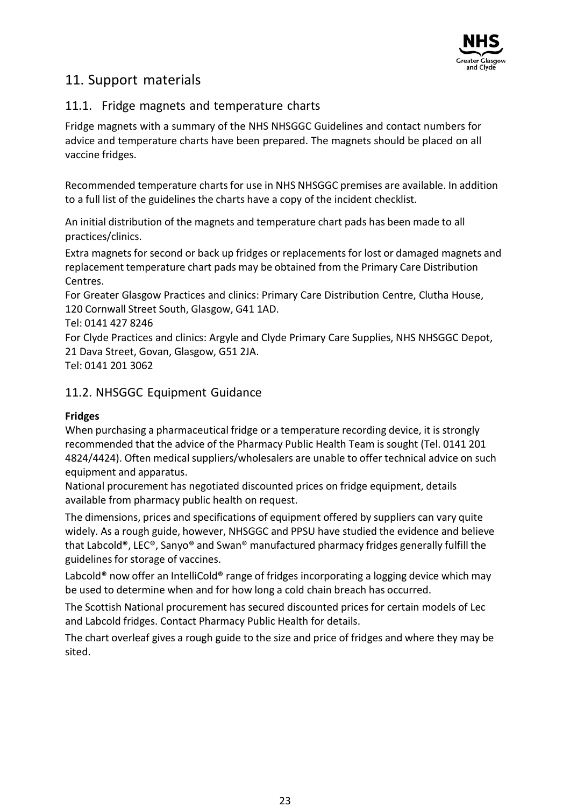

# 11. Support materials

### 11.1. Fridge magnets and temperature charts

Fridge magnets with a summary of the NHS NHSGGC Guidelines and contact numbers for advice and temperature charts have been prepared. The magnets should be placed on all vaccine fridges.

Recommended temperature charts for use in NHS NHSGGC premises are available. In addition to a full list of the guidelines the charts have a copy of the incident checklist.

An initial distribution of the magnets and temperature chart pads has been made to all practices/clinics.

Extra magnets for second or back up fridges or replacements for lost or damaged magnets and replacement temperature chart pads may be obtained from the Primary Care Distribution Centres.

For Greater Glasgow Practices and clinics: Primary Care Distribution Centre, Clutha House, 120 Cornwall Street South, Glasgow, G41 1AD.

Tel: 0141 427 8246

For Clyde Practices and clinics: Argyle and Clyde Primary Care Supplies, NHS NHSGGC Depot, 21 Dava Street, Govan, Glasgow, G51 2JA.

Tel: 0141 201 3062

### 11.2. NHSGGC Equipment Guidance

### **Fridges**

When purchasing a pharmaceutical fridge or a temperature recording device, it is strongly recommended that the advice of the Pharmacy Public Health Team is sought (Tel. 0141 201 4824/4424). Often medical suppliers/wholesalers are unable to offer technical advice on such equipment and apparatus.

National procurement has negotiated discounted prices on fridge equipment, details available from pharmacy public health on request.

The dimensions, prices and specifications of equipment offered by suppliers can vary quite widely. As a rough guide, however, NHSGGC and PPSU have studied the evidence and believe that Labcold®, LEC®, Sanyo® and Swan® manufactured pharmacy fridges generally fulfill the guidelines for storage of vaccines.

Labcold<sup>®</sup> now offer an IntelliCold<sup>®</sup> range of fridges incorporating a logging device which may be used to determine when and for how long a cold chain breach has occurred.

The Scottish National procurement has secured discounted prices for certain models of Lec and Labcold fridges. Contact Pharmacy Public Health for details.

The chart overleaf gives a rough guide to the size and price of fridges and where they may be sited.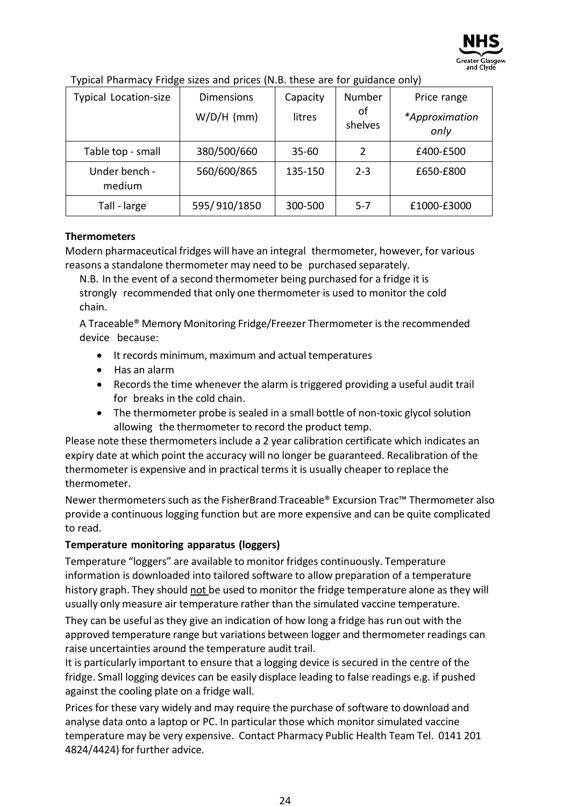

| <b>Typical Location-size</b> | <b>Dimensions</b><br>$W/D/H$ (mm) | Capacity<br>litres | Number<br>οf | Price range<br>*Approximation |
|------------------------------|-----------------------------------|--------------------|--------------|-------------------------------|
|                              |                                   |                    | shelves      | only                          |
| Table top - small            | 380/500/660                       | $35 - 60$          | 2            | £400-£500                     |
| Under bench -<br>medium      | 560/600/865                       | 135-150            | $2 - 3$      | £650-£800                     |
| Tall - large                 | 595/910/1850                      | 300-500            | $5-7$        | £1000-£3000                   |

Typical Pharmacy Fridge sizes and prices (N.B. these are for guidance only)

#### **Thermometers**

Modern pharmaceutical fridges will have an integral thermometer, however, for various reasons a standalone thermometer may need to be purchased separately.

N.B. In the event of a second thermometer being purchased for a fridge it is strongly recommended that only one thermometer is used to monitor the cold chain.

A Traceable® Memory Monitoring Fridge/Freezer Thermometer isthe recommended device because:

- It records minimum, maximum and actual temperatures
- Has an alarm
- Records the time whenever the alarm istriggered providing a useful audit trail for breaks in the cold chain.
- The thermometer probe is sealed in a small bottle of non-toxic glycol solution allowing the thermometer to record the product temp.

Please note these thermometers include a 2 year calibration certificate which indicates an expiry date at which point the accuracy will no longer be guaranteed. Recalibration of the thermometer is expensive and in practical terms it is usually cheaper to replace the thermometer.

Newer thermometers such as the FisherBrand Traceable® Excursion Trac™ Thermometer also provide a continuous logging function but are more expensive and can be quite complicated to read.

#### **Temperature monitoring apparatus (loggers)**

Temperature "loggers" are available to monitor fridges continuously. Temperature information is downloaded into tailored software to allow preparation of a temperature history graph. They should not be used to monitor the fridge temperature alone as they will usually only measure air temperature rather than the simulated vaccine temperature.

They can be useful as they give an indication of how long a fridge has run out with the approved temperature range but variations between logger and thermometer readings can raise uncertainties around the temperature audit trail.

It is particularly important to ensure that a logging device is secured in the centre of the fridge. Small logging devices can be easily displace leading to false readings e.g. if pushed against the cooling plate on a fridge wall.

Prices for these vary widely and may require the purchase of software to download and analyse data onto a laptop or PC. In particular those which monitor simulated vaccine temperature may be very expensive. Contact Pharmacy Public Health Team Tel. 0141 201 4824/4424) forfurther advice.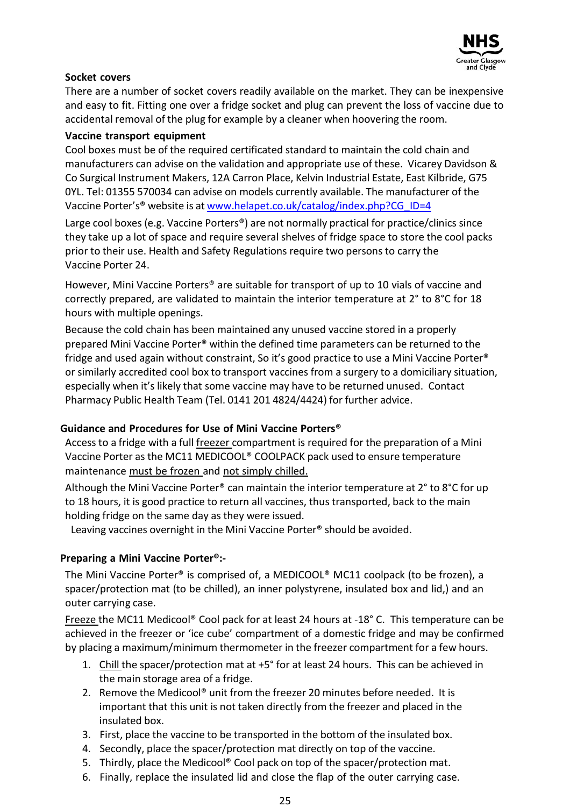

#### **Socket covers**

There are a number of socket covers readily available on the market. They can be inexpensive and easy to fit. Fitting one over a fridge socket and plug can prevent the loss of vaccine due to accidental removal of the plug for example by a cleaner when hoovering the room.

#### **Vaccine transport equipment**

Cool boxes must be of the required certificated standard to maintain the cold chain and manufacturers can advise on the validation and appropriate use of these. Vicarey Davidson & Co Surgical Instrument Makers, 12A Carron Place, Kelvin Industrial Estate, East Kilbride, G75 0YL. Tel: 01355 570034 can advise on models currently available. The manufacturer of the Vaccine Porter's® website is at [www.helapet.co.uk/catalog/index.php?CG\\_ID=4](http://www.helapet.co.uk/catalog/index.php?CG_ID=4)

Large cool boxes (e.g. Vaccine Porters®) are not normally practical for practice/clinics since they take up a lot of space and require several shelves of fridge space to store the cool packs prior to their use. Health and Safety Regulations require two persons to carry the Vaccine Porter 24.

However, Mini Vaccine Porters® are suitable for transport of up to 10 vials of vaccine and correctly prepared, are validated to maintain the interior temperature at 2° to 8°C for 18 hours with multiple openings.

Because the cold chain has been maintained any unused vaccine stored in a properly prepared Mini Vaccine Porter® within the defined time parameters can be returned to the fridge and used again without constraint, So it's good practice to use a Mini Vaccine Porter® or similarly accredited cool box to transport vaccines from a surgery to a domiciliary situation, especially when it's likely that some vaccine may have to be returned unused. Contact Pharmacy Public Health Team (Tel. 0141 201 4824/4424) for further advice.

#### **Guidance and Procedures for Use of Mini Vaccine Porters®**

Access to a fridge with a full freezer compartment is required for the preparation of a Mini Vaccine Porter as the MC11 MEDICOOL® COOLPACK pack used to ensure temperature maintenance must be frozen and not simply chilled.

Although the Mini Vaccine Porter<sup>®</sup> can maintain the interior temperature at 2° to 8°C for up to 18 hours, it is good practice to return all vaccines, thus transported, back to the main holding fridge on the same day as they were issued.

Leaving vaccines overnight in the Mini Vaccine Porter® should be avoided.

#### **Preparing a Mini Vaccine Porter®:-**

The Mini Vaccine Porter® is comprised of, a MEDICOOL® MC11 coolpack (to be frozen), a spacer/protection mat (to be chilled), an inner polystyrene, insulated box and lid,) and an outer carrying case.

Freeze the MC11 Medicool<sup>®</sup> Cool pack for at least 24 hours at -18° C. This temperature can be achieved in the freezer or 'ice cube' compartment of a domestic fridge and may be confirmed by placing a maximum/minimum thermometer in the freezer compartment for a few hours.

- 1. Chill the spacer/protection mat at +5° for at least 24 hours. This can be achieved in the main storage area of a fridge.
- 2. Remove the Medicool® unit from the freezer 20 minutes before needed. It is important that this unit is not taken directly from the freezer and placed in the insulated box.
- 3. First, place the vaccine to be transported in the bottom of the insulated box.
- 4. Secondly, place the spacer/protection mat directly on top of the vaccine.
- 5. Thirdly, place the Medicool® Cool pack on top of the spacer/protection mat.
- 6. Finally, replace the insulated lid and close the flap of the outer carrying case.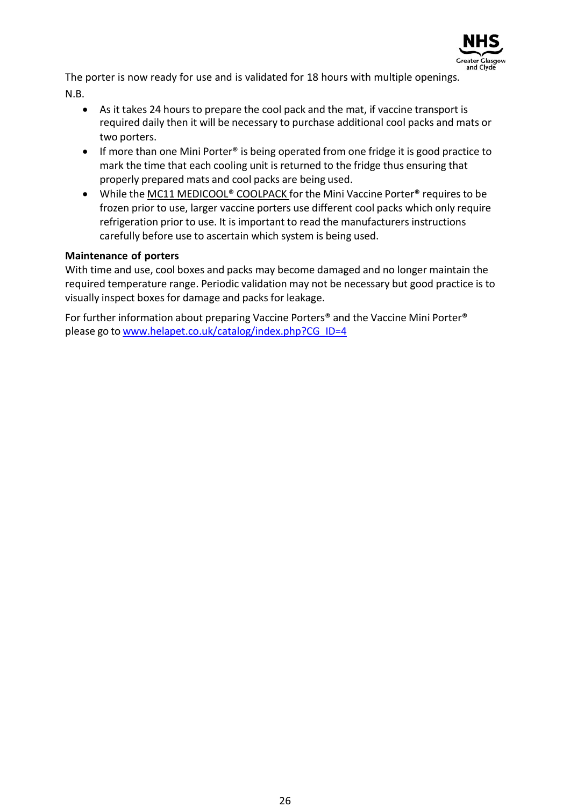

The porter is now ready for use and is validated for 18 hours with multiple openings. N.B.

- As it takes 24 hours to prepare the cool pack and the mat, if vaccine transport is required daily then it will be necessary to purchase additional cool packs and mats or two porters.
- If more than one Mini Porter® is being operated from one fridge it is good practice to mark the time that each cooling unit is returned to the fridge thus ensuring that properly prepared mats and cool packs are being used.
- While the MC11 MEDICOOL® COOLPACK for the Mini Vaccine Porter® requires to be frozen prior to use, larger vaccine porters use different cool packs which only require refrigeration prior to use. It is important to read the manufacturers instructions carefully before use to ascertain which system is being used.

#### **Maintenance of porters**

With time and use, cool boxes and packs may become damaged and no longer maintain the required temperature range. Periodic validation may not be necessary but good practice is to visually inspect boxes for damage and packs for leakage.

For further information about preparing Vaccine Porters® and the Vaccine Mini Porter® please go to [www.helapet.co.uk/catalog/index.php?CG\\_ID=4](http://www.helapet.co.uk/catalog/index.php?CG_ID=4)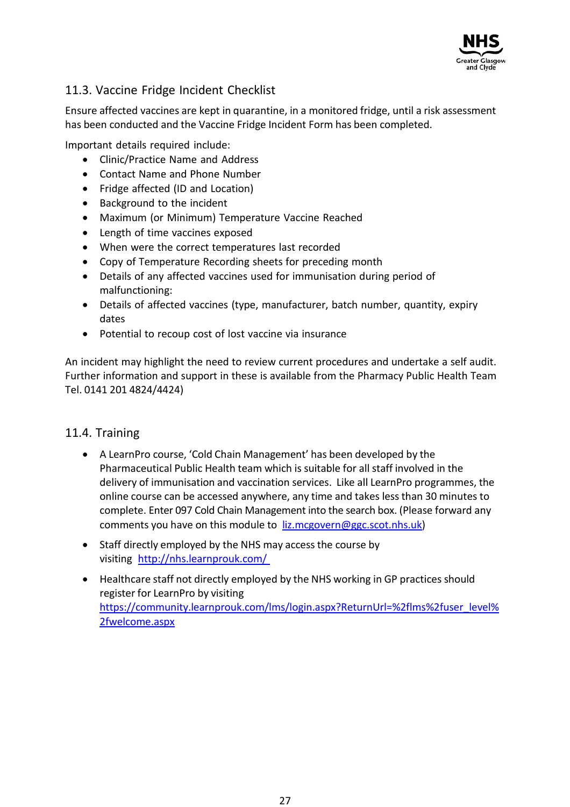

### 11.3. Vaccine Fridge Incident Checklist

Ensure affected vaccines are kept in quarantine, in a monitored fridge, until a risk assessment has been conducted and the Vaccine Fridge Incident Form has been completed.

Important details required include:

- Clinic/Practice Name and Address
- Contact Name and Phone Number
- Fridge affected (ID and Location)
- Background to the incident
- Maximum (or Minimum) Temperature Vaccine Reached
- Length of time vaccines exposed
- When were the correct temperatures last recorded
- Copy of Temperature Recording sheets for preceding month
- Details of any affected vaccines used for immunisation during period of malfunctioning:
- Details of affected vaccines (type, manufacturer, batch number, quantity, expiry dates
- Potential to recoup cost of lost vaccine via insurance

An incident may highlight the need to review current procedures and undertake a self audit. Further information and support in these is available from the Pharmacy Public Health Team Tel. 0141 201 4824/4424)

#### 11.4. Training

- A LearnPro course, 'Cold Chain Management' has been developed by the Pharmaceutical Public Health team which is suitable for all staff involved in the delivery of immunisation and vaccination services. Like all LearnPro programmes, the online course can be accessed anywhere, any time and takes less than 30 minutes to complete. Enter 097 Cold Chain Management into the search box. (Please forward any comments you have on this module to liz.mcgovern@ggc.scot.nhs.uk)
- Staff directly employed by the NHS may access the course by visiting <http://nhs.learnprouk.com/>
- Healthcare staff not directly employed by the NHS working in GP practices should register for LearnPro by visiting https://community.learnprouk.com/lms/login.aspx?ReturnUrl=%2flms%2fuser\_level% 2fwelcome.aspx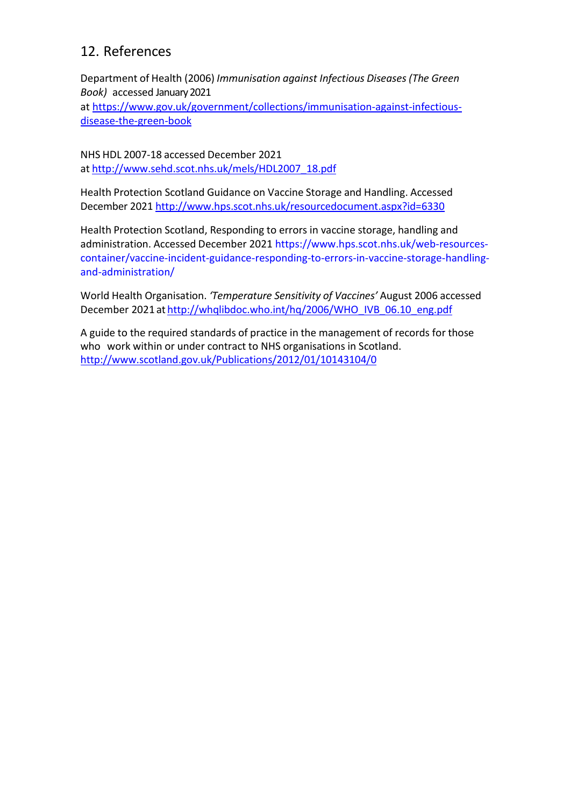# 12. References

Department of Health (2006) *Immunisation against Infectious Diseases (The Green Book)* accessed January 2021

at [https://www.gov.uk/government/collections/immunisation-against-infectious](https://www.gov.uk/government/collections/immunisation-against-infectious-disease-the-green-book)[disease-the-green-book](https://www.gov.uk/government/collections/immunisation-against-infectious-disease-the-green-book) 

NHS HDL 2007-18 accessed December 2021 at [http://www.sehd.scot.nhs.uk/mels/HDL2007\\_18.pdf](http://www.sehd.scot.nhs.uk/mels/HDL2007_18.pdf)

Health Protection Scotland Guidance on Vaccine Storage and Handling. Accessed December 2021 <http://www.hps.scot.nhs.uk/resourcedocument.aspx?id=6330>

Health Protection Scotland, Responding to errors in vaccine storage, handling and administration. Accessed December 2021 https://www.hps.scot.nhs.uk/web-resourcescontainer/vaccine-incident-guidance-responding-to-errors-in-vaccine-storage-handlingand-administration/

World Health Organisation. *'Temperature Sensitivity of Vaccines'* August 2006 accessed December 2021 at [http://whqlibdoc.who.int/hq/2006/WHO\\_IVB\\_06.10\\_eng.pdf](http://whqlibdoc.who.int/hq/2006/WHO_IVB_06.10_eng.pdf)

A guide to the required standards of practice in the management of records for those who work within or under contract to NHS organisations in Scotland. <http://www.scotland.gov.uk/Publications/2012/01/10143104/0>